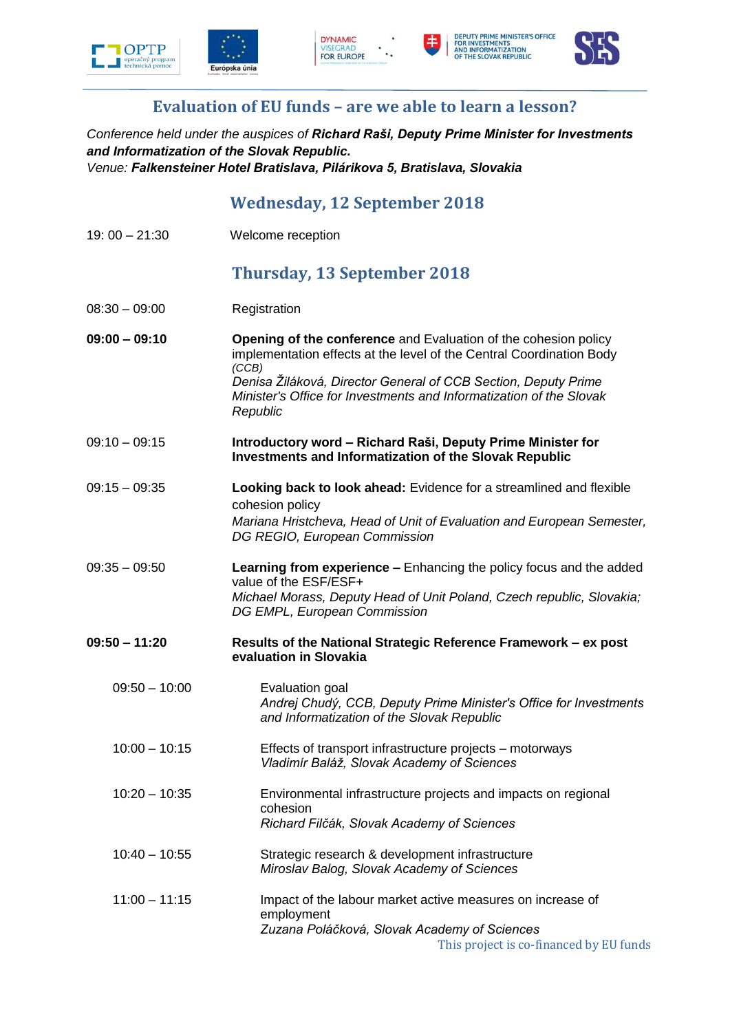









## **Evaluation of EU funds – are we able to learn a lesson?**

*Conference held under the auspices of Richard Raši, Deputy Prime Minister for Investments and Informatization of the Slovak Republic. Venue: Falkensteiner Hotel Bratislava, Pilárikova 5, Bratislava, Slovakia*

## **Wednesday, 12 September 2018**

| $19:00 - 21:30$ | Welcome reception                                                                                                                                                                                                                                                                                     |
|-----------------|-------------------------------------------------------------------------------------------------------------------------------------------------------------------------------------------------------------------------------------------------------------------------------------------------------|
|                 | <b>Thursday, 13 September 2018</b>                                                                                                                                                                                                                                                                    |
| $08:30 - 09:00$ | Registration                                                                                                                                                                                                                                                                                          |
| $09:00 - 09:10$ | Opening of the conference and Evaluation of the cohesion policy<br>implementation effects at the level of the Central Coordination Body<br>(CCB)<br>Denisa Žiláková, Director General of CCB Section, Deputy Prime<br>Minister's Office for Investments and Informatization of the Slovak<br>Republic |
| $09:10 - 09:15$ | Introductory word - Richard Raši, Deputy Prime Minister for<br><b>Investments and Informatization of the Slovak Republic</b>                                                                                                                                                                          |
| $09:15 - 09:35$ | Looking back to look ahead: Evidence for a streamlined and flexible<br>cohesion policy<br>Mariana Hristcheva, Head of Unit of Evaluation and European Semester,<br>DG REGIO, European Commission                                                                                                      |
| $09:35 - 09:50$ | Learning from experience - Enhancing the policy focus and the added<br>value of the ESF/ESF+<br>Michael Morass, Deputy Head of Unit Poland, Czech republic, Slovakia;<br>DG EMPL, European Commission                                                                                                 |
| $09:50 - 11:20$ | Results of the National Strategic Reference Framework - ex post<br>evaluation in Slovakia                                                                                                                                                                                                             |
| $09:50 - 10:00$ | Evaluation goal<br>Andrej Chudý, CCB, Deputy Prime Minister's Office for Investments<br>and Informatization of the Slovak Republic                                                                                                                                                                    |
| $10:00 - 10:15$ | Effects of transport infrastructure projects – motorways<br>Vladimír Baláž, Slovak Academy of Sciences                                                                                                                                                                                                |
| $10:20 - 10:35$ | Environmental infrastructure projects and impacts on regional<br>cohesion<br>Richard Filčák, Slovak Academy of Sciences                                                                                                                                                                               |
| $10:40 - 10:55$ | Strategic research & development infrastructure<br>Miroslav Balog, Slovak Academy of Sciences                                                                                                                                                                                                         |
| $11:00 - 11:15$ | Impact of the labour market active measures on increase of<br>employment<br>Zuzana Poláčková, Slovak Academy of Sciences<br>This project is co-financed by EU funds                                                                                                                                   |